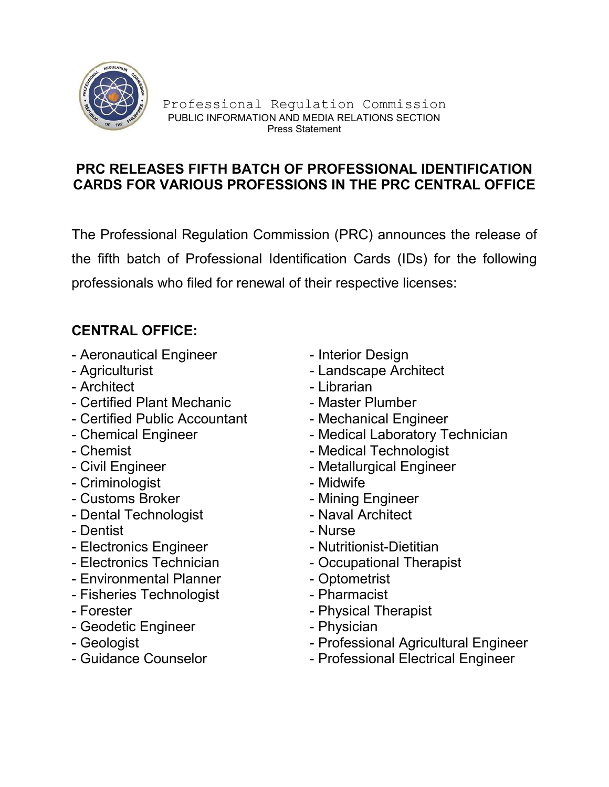

## PRC RELEASES FIFTH BATCH OF PROFESSIONAL IDENTIFICATION CARDS FOR VARIOUS PROFESSIONS IN THE PRC CENTRAL OFFICE

The Professional Regulation Commission (PRC) announces the release of the fifth batch of Professional Identification Cards (IDs) for the following professionals who filed for renewal of their respective licenses:

## CENTRAL OFFICE:

- Aeronautical Engineer Interior Design
- 
- Architect  **Librarian**
- Certified Plant Mechanic Master Plumber
- Certified Public Accountant Mechanical Engineer<br>- Chemical Engineer Medical Laboratory To
- 
- 
- 
- Criminologist  **Midwife**
- Customs Broker  **Mining Engineer**
- Dental Technologist  **Naval Architect**
- Dentist Nurse
- Electronics Engineer Nutritionist-Dietitian
- 
- Environmental Planner Optometrist
- Fisheries Technologist Pharmacist
- 
- Geodetic Engineer Physician
- 
- 
- 
- Agriculturist Landscape Architect
	-
	-
	-
	- Medical Laboratory Technician
- Chemist  **Chemist** Medical Technologist
- Civil Engineer  **Metallurgical Engineer** 
	-
	-
	-
	-
	-
- Electronics Technician Occupational Therapist
	-
	-
- Forester  **Physical Therapist** 
	-
- Geologist  **Professional Agricultural Engineer**
- Guidance Counselor  **Professional Electrical Engineer**